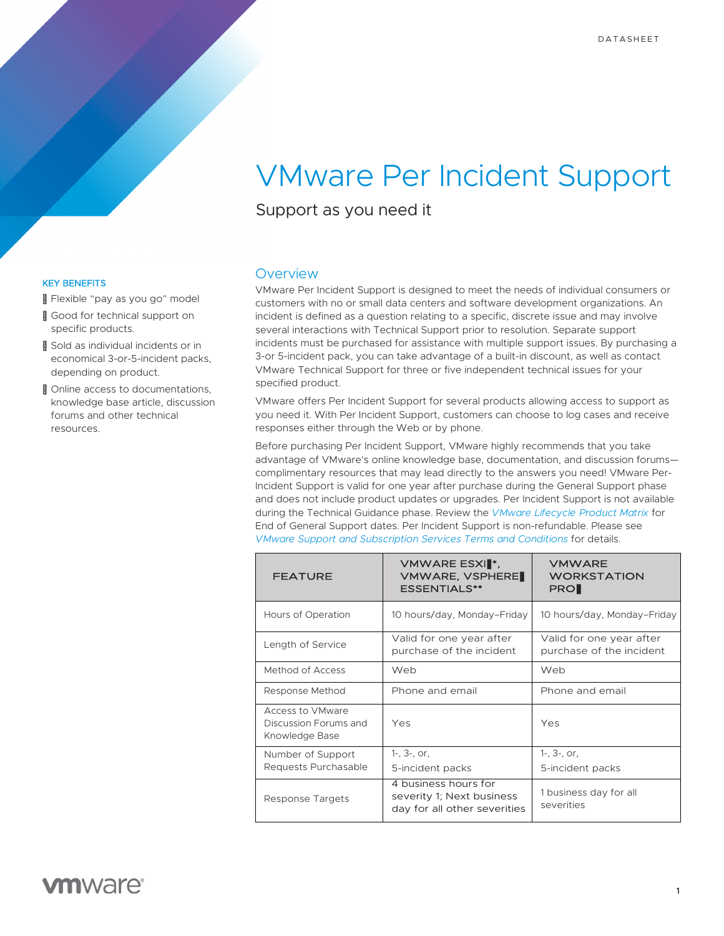# VMware Per Incident Support

Support as you need it

### KEY BENEFITS

Flexible "pay as you go" model

- ™Good for technical support on specific products.
- TMSold as individual incidents or in economical 3-or-5-incident packs, depending on product.
- ™Online access to documentations, knowledge base article, discussion forums and other technical resources.

### **Overview**

VMware Per Incident Support is designed to meet the needs of individual consumers or customers with no or small data centers and software development organizations. An incident is defined as a question relating to a specific, discrete issue and may involve several interactions with Technical Support prior to resolution. Separate support incidents must be purchased for assistance with multiple support issues. By purchasing a 3-or 5-incident pack, you can take advantage of a built-in discount, as well as contact VMware Technical Support for three or five independent technical issues for your specified product.

VMware offers Per Incident Support for several products allowing access to support as you need it. With Per Incident Support, customers can choose to log cases and receive responses either through the Web or by phone.

Before purchasing Per Incident Support, VMware highly recommends that you take advantage of VMware's online knowledge base, documentation, and discussion forums complimentary resources that may lead directly to the answers you need! VMware Per-Incident Support is valid for one year after purchase during the General Support phase and does not include product updates or upgrades. Per Incident Support is not available during the Technical Guidance phase. Review the *[VMware Lifecycle Product Matrix](http://www.vmware.com/content/dam/digitalmarketing/vmware/en/pdf/support/product-lifecycle-matrix.pdf)* for End of General Support dates. Per Incident Support is non-refundable. Please see *[VMware Support and Subscription Services Terms and Conditions](http://www.vmware.com/content/dam/digitalmarketing/vmware/en/pdf/support/vmware-support-terms-conditions.pdf)* for details.

| <b>FEATURE</b>                                              | <b>VMWARE ESXI™,</b><br><b>VMWARE, VSPHERE™</b><br><b>ESSENTIALS**</b>            | <b>VMWARE</b><br><b>WORKSTATION</b><br><b>PROTM</b>  |
|-------------------------------------------------------------|-----------------------------------------------------------------------------------|------------------------------------------------------|
| Hours of Operation                                          | 10 hours/day, Monday-Friday                                                       | 10 hours/day, Monday-Friday                          |
| Length of Service                                           | Valid for one year after<br>purchase of the incident                              | Valid for one year after<br>purchase of the incident |
| Method of Access                                            | Web                                                                               | Web                                                  |
| Response Method                                             | Phone and email                                                                   | Phone and email                                      |
| Access to VMware<br>Discussion Forums and<br>Knowledge Base | Yes                                                                               | Yes                                                  |
| Number of Support                                           | $1-$ , $3-$ , or,                                                                 | $1-$ , $3-$ , or,                                    |
| Requests Purchasable                                        | 5-incident packs                                                                  | 5-incident packs                                     |
| Response Targets                                            | 4 business hours for<br>severity 1; Next business<br>day for all other severities | 1 business day for all<br>severities                 |

## **vm**ware<sup>®</sup>